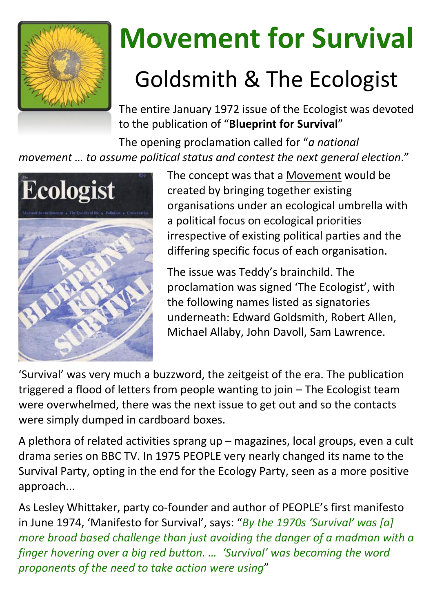

# **Movement for Survival**

# Goldsmith & The Ecologist

The entire January 1972 issue of the Ecologist was devoted to the publication of "**Blueprint for Survival**"

The opening proclamation called for "*a national movement … to assume political status and contest the next general election*."



The concept was that a **Movement** would be created by bringing together existing organisations under an ecological umbrella with a political focus on ecological priorities irrespective of existing political parties and the differing specific focus of each organisation.

The issue was Teddy's brainchild. The proclamation was signed 'The Ecologist', with the following names listed as signatories underneath: Edward Goldsmith, Robert Allen, Michael Allaby, John Davoll, Sam Lawrence.

'Survival' was very much a buzzword, the zeitgeist of the era. The publication triggered a flood of letters from people wanting to join – The Ecologist team were overwhelmed, there was the next issue to get out and so the contacts were simply dumped in cardboard boxes.

A plethora of related activities sprang up – magazines, local groups, even a cult drama series on BBC TV. In 1975 PEOPLE very nearly changed its name to the

Survival Party, opting in the end for the Ecology Party, seen as a more positive approach...

As Lesley Whittaker, party co-founder and author of PEOPLE's first manifesto in June 1974, 'Manifesto for Survival', says: "*By the 1970s 'Survival' was [a] more broad based challenge than just avoiding the danger of a madman with a finger hovering over a big red button. … 'Survival' was becoming the word proponents of the need to take action were using*"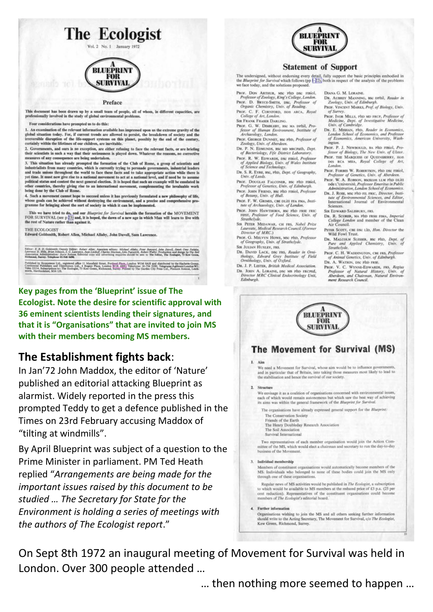

Vol. 2 No. 1 January 1972



Preface

This document has been drawn up by a small team of people, all of whom, in different capacities, are professionally involved in the study of global environmental problems.

Four considerations have prompted us to do this:

1. An examination of the relevant information available has impressed upon us the extreme gravity of the global situation today. For, if current trends are allowed to persist, the breakdown of society and the irreversible disruption of the life-support systems on this planet, possibly by the end of the century, certainly within the lifetimes of our children, are inevitable.

2. Governments, and ours is no exception, are either refusing to face the relevant facts, or are briefing their scientists in such a way that their seriousness is played down. Whatever the reasons, no corrective measures of any consequence are being undertaken.

3. This situation has already prompted the formation of the Club of Rome, a group of scientists and industrialists from many countries, which is currently trying to persuade governments, industrial leaders and trade unions throughout the world to face these facts and to take appropriate action while there is yet time. It must now give rise to a national movement to act at a national level, and if need be to assu political status and contest the next general election. It is hoped that such an example will be emulated in other countries, thereby giving rise to an international movement, complementing the invaluable work being done by the Club of Rome.

4. Such a movement cannot hope to succeed unless it has previously formulated a new philosophy of life, whose goals can be achieved without destroying the environment, and a precise and comprehensive programme for bringing about the sort of society in which it can be implemented.

This we have tried to do, and our Biheprint for Survival heralds the formation of the MOVEMENT<br>FOR SURVIVAL (see p 23) and, it is hoped, the dawn of a new age in which Man will learn to live with the rest of Nature rather than against it.

#### THE ECOLOGIST

Edward Goldsmith, Robert Allen, Michael Allaby, John Davoll, Sam Lawrence.

Foltor: E. R. D. Goldmith; Deputy Editor: Robert Aller; Associate editors: Michael Allahy, Prov Baryard, John Davol, Zenek Orea Padata,<br>Lesenco D. Milk, Brian Johnson, S. G. Lawrence, Jose Lindigf, Charles Machan, John Pap

Poblahed by Ecosystems Ltd., registered office 11 Mansfield Street, Portland Flace, London WIM 0AHI and distributed by the Hacherin Groop.<br>Continuental Publishers and Distributors Ltd., 4 Regent Place, London WIR 4581; Tel

Key pages from the 'Blueprint' issue of The Ecologist. Note the desire for scientific approval with 36 eminent scientists lending their signatures, and that it is "Organisations" that are invited to join MS with their members becoming MS members.

### The Establishment fights back:

In Jan'72 John Maddox, the editor of 'Nature' published an editorial attacking Blueprint as alarmist. Widely reported in the press this prompted Teddy to get a defence published in the Times on 23rd February accusing Maddox of "tilting at windmills".

By April Blueprint was subject of a question to the Prime Minister in parliament. PM Ted Heath replied "Arrangements are being made for the important issues raised by this document to be studied ... The Secretary for State for the Environment is holding a series of meetings with the authors of The Ecologist report."



#### **Statement of Support**

The undersigned, without endorsing every detail, fully support the basic principles embodied in the Blueprint for Survival which follows (pp 1-22), both in respect of the analysis of the problems we face today, and the solutions proposed.

PROF. DON ARTHUR, MSC PhD DSC FIRIOI, Professor of Zoology, King's College, London.

PROF. D. BRYCE-SMITH, DSC, Professor of Organic Chemistry, Univ. of Reading.

PROF. C. F. CORNFORD, HOB ARCA, Royal College of Art, London.

**SIR FRANK FRASIR DARLING.** 

PROF. G. W. DIMBLEBY, ESC MA DPhil, Professor of Human Environment, Institute of Archaeology, London.

PROF. GEORGE DUNNET, 115c PhD, Professor of<br>Zoology, Univ. of Aberdeen.

- DR. P. N. EDMUNDS, BSC MD MRCPath, Dept. of Bacteriology, Fife District Laboratory.
- PROF. R. W. EDWARDS, DSC FINiol, Professor of Applied Biology, Univ. of Wales Institute<br>of Science and Technology.
- DR. S. R. EYRE, 8Sc, PhD, Dept. of Geography, Univ. of Leeds.
- PROF. DOUGLAS FALCONER, BSC PhD FIBiol, Professor of Genetics, Univ. of Edinburgh.

PROF. JOHN FRIEND, BSC PhD FIRIOL Professor of Botany, Univ. of Hull.

- PROF. F. W. GRIMES, CBE DLIII FFA FMA, Institute of Archaeology, Univ. of London.
- PROF. JOHN HAWTHORN, BSC PhD FRSE FRIC FIFST, Professor of Food Science, Univ. of Strathclyde.
- SIR PETER MEDAWAR, CH FRS, Nobel Prize Laureate, Medical Research Council. (Former Director of MRC.)
- PROF. G. MELVYN HOWE, MSc PhD, Professor of Geography, Univ. of Strathclyde.
- **SER JULIAN HUXLEY, FRS.**
- DR. DAVID LACK, DSc FRS, Reader in Ornithology, Edward Grey Institute of Field<br>Ornithology, Univ. of Oxford.

DR. J. P. LESTER, British Medical Association. DR. JOHN A. LORAINE, DSC MB PhD FRCPEd, Director MRC Clinical Endocrinology Unit, Edinburgh.

DIANA G. M. LORAINE.

- DR. AUBREY MANNING, BSC DPhil, Reader in Zoology, Univ. of Edinburgh.
- PROF. VINCENT MARKS, Prof. of Biology, Univ. of Surrey,
- PROF. IVOR MILLS, PhD MD FRCP, Professor of Medicine, Dept. of Investigative Medicine,<br>Univ. of Cambridge.
- DR. E. MISHAN, PhD, Reader in Economics, London School of Economics, and Professor of Economics, American University, Washington.
- PROF. P. J. NEWBOULD, BA PhD FIROJ, Pro-
- fessor of Biology, The New Univ. of Ulster. PROF. THE MARQUESS OF QUEENSBERRY, Hon-Des RCA MSIA, Royal College of Art,
- London. PROF. FORBES W. ROBERTSON, PhD DSC FIBiol, Professor of Genetics, Univ. of Aberdeen.
- PROF. W. A. ROBSON, BSCECON LLM PhD DLitt ode L'Università, Professor Emeritus in Public Administration, London School of Economics.
- DR. J. ROSE, MSc PhD FIL FRIC, Director, Institute of Environmental Sciences, and Editor, International Journal of Environmental Sciences.
- **SIR EDWARD SALISBURY, FRS.**
- DR. R. SCORER, MA PhD FRSH FIMA, Imperial College London and member of the Clean Air Council.
- PETER SCOTT, CRE DSC LlD, Hon. Director the Wild Fowl Trust.
- DR. MALCOLM SLESSER, BSC PhD. Dept. of Pure and Applied Chemistry, Univ. of Strathclyde.
- PROF. C. H. WADDINGTON, CBE FRS, Professor of Animal Genetics, Univ. of Edinburgh.

DR. A. WATSON, DSC PhD FRSE.

PROF. V. C. WYNNE-EDWARDS, FRS, Regius Professor of Natural History, Univ. of<br>Aberdeen, and Chairman, Natural Environment Research Council.



### The Movement for Survival (MS)

#### Aim

We need a Movement for Survival, whose aim would be to influence governments, and in particular that of Britain, into taking those measures most likely to lead to the stabilisation and hence the survival of our society.

2. Structure

We envisage it as a coalition of organisations concerned with environmental issues, each of which would remain autonomous but which saw the best way of achieving its aims was within the general framework of the Blueprint for Survival.

The organisations have already expressed general support for the Blueprint: The Conservation Society Friends of the Earth The Henry Doubleday Research Association

- The Soil Association
- Survival International

Two representatives of each member organisation would join the Action Committee of the MS, which would elect a chairman and secretary to run the day-to-day business of the Movement.

Members of constituent organisations would automatically become members of the MS. Individuals who belonged to none of these bodies could join the MS only through one of these organisations.

Regular news of MS activities would be published in The Ecologist, a subscription to which would be available to MS members at the reduced price of £3 p.a. (25 per cent reduction). Representatives of the constituent organisations could become members of The Ecologist's editorial board.

#### 4. Further information

Organisations wishing to join the MS and all others seeking further information should write to the Acting Secretary, The Movement for Survival, c/o The Ecologist, Kew Green, Richmond, Surrey.

On Sept 8th 1972 an inaugural meeting of Movement for Survival was held in London. Over 300 people attended ...

... then nothing more seemed to happen ...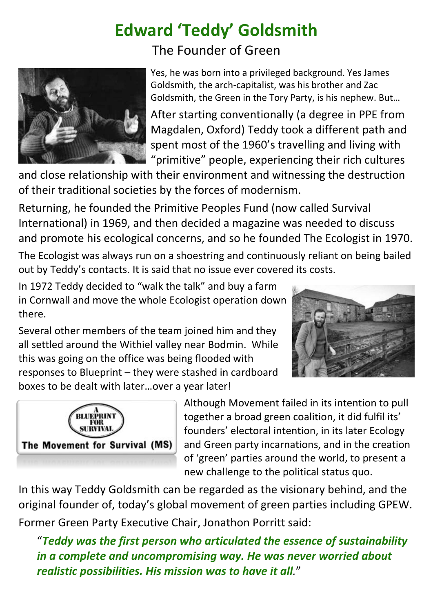## **Edward 'Teddy' Goldsmith** The Founder of Green



Yes, he was born into a privileged background. Yes James Goldsmith, the arch-capitalist, was his brother and Zac Goldsmith, the Green in the Tory Party, is his nephew. But…

After starting conventionally (a degree in PPE from Magdalen, Oxford) Teddy took a different path and spent most of the 1960's travelling and living with "primitive" people, experiencing their rich cultures

and close relationship with their environment and witnessing the destruction of their traditional societies by the forces of modernism.

Returning, he founded the Primitive Peoples Fund (now called Survival International) in 1969, and then decided a magazine was needed to discuss and promote his ecological concerns, and so he founded The Ecologist in 1970.

The Ecologist was always run on a shoestring and continuously reliant on being bailed out by Teddy's contacts. It is said that no issue ever covered its costs.

In 1972 Teddy decided to "walk the talk" and buy a farm in Cornwall and move the whole Ecologist operation down there.

Several other members of the team joined him and they all settled around the Withiel valley near Bodmin. While this was going on the office was being flooded with responses to Blueprint – they were stashed in cardboard boxes to be dealt with later…over a year later!





Although Movement failed in its intention to pull together a broad green coalition, it did fulfil its' founders' electoral intention, in its later Ecology and Green party incarnations, and in the creation of 'green' parties around the world, to present a new challenge to the political status quo.

In this way Teddy Goldsmith can be regarded as the visionary behind, and the original founder of, today's global movement of green parties including GPEW.

Former Green Party Executive Chair, Jonathon Porritt said:

"*Teddy was the first person who articulated the essence of sustainability in a complete and uncompromising way. He was never worried about realistic possibilities. His mission was to have it all.*"